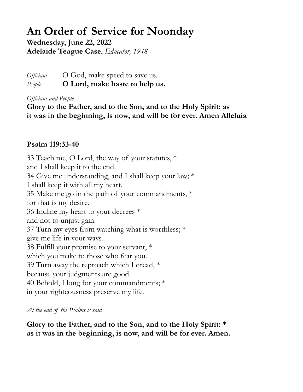## **An Order of Service for Noonday**

**Wednesday, June 22, 2022 Adelaide Teague Case**, *Educator, 1948*

*Officiant* O God, make speed to save us. *People* **O Lord, make haste to help us.**

*Officiant and People*

**Glory to the Father, and to the Son, and to the Holy Spirit: as it was in the beginning, is now, and will be for ever. Amen Alleluia**

## **Psalm 119:33-40**

33 Teach me, O Lord, the way of your statutes,  $*$ and I shall keep it to the end. 34 Give me understanding, and I shall keep your law; \* I shall keep it with all my heart. 35 Make me go in the path of your commandments, \* for that is my desire. 36 Incline my heart to your decrees \* and not to unjust gain. 37 Turn my eyes from watching what is worthless; \* give me life in your ways. 38 Fulfill your promise to your servant, \* which you make to those who fear you. 39 Turn away the reproach which I dread, \* because your judgments are good. 40 Behold, I long for your commandments; \* in your righteousness preserve my life.

*At the end of the Psalms is said*

**Glory to the Father, and to the Son, and to the Holy Spirit: \* as it was in the beginning, is now, and will be for ever. Amen.**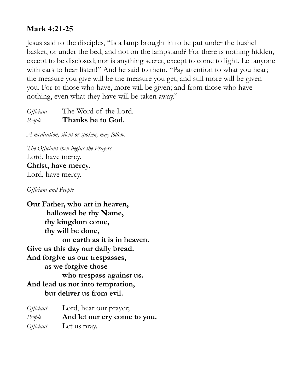## **Mark 4:21-25**

Jesus said to the disciples, "Is a lamp brought in to be put under the bushel basket, or under the bed, and not on the lampstand? For there is nothing hidden, except to be disclosed; nor is anything secret, except to come to light. Let anyone with ears to hear listen!" And he said to them, "Pay attention to what you hear; the measure you give will be the measure you get, and still more will be given you. For to those who have, more will be given; and from those who have nothing, even what they have will be taken away."

*Officiant* The Word of the Lord*. People* **Thanks be to God.**

*A meditation, silent or spoken, may follow.* 

*The Officiant then begins the Prayers*  Lord, have mercy. **Christ, have mercy.**  Lord, have mercy.

*Officiant and People*

**Our Father, who art in heaven, hallowed be thy Name, thy kingdom come, thy will be done, on earth as it is in heaven. Give us this day our daily bread. And forgive us our trespasses, as we forgive those who trespass against us. And lead us not into temptation, but deliver us from evil.** 

| Officiant | Lord, hear our prayer;       |
|-----------|------------------------------|
| People    | And let our cry come to you. |
| Officiant | Let us pray.                 |